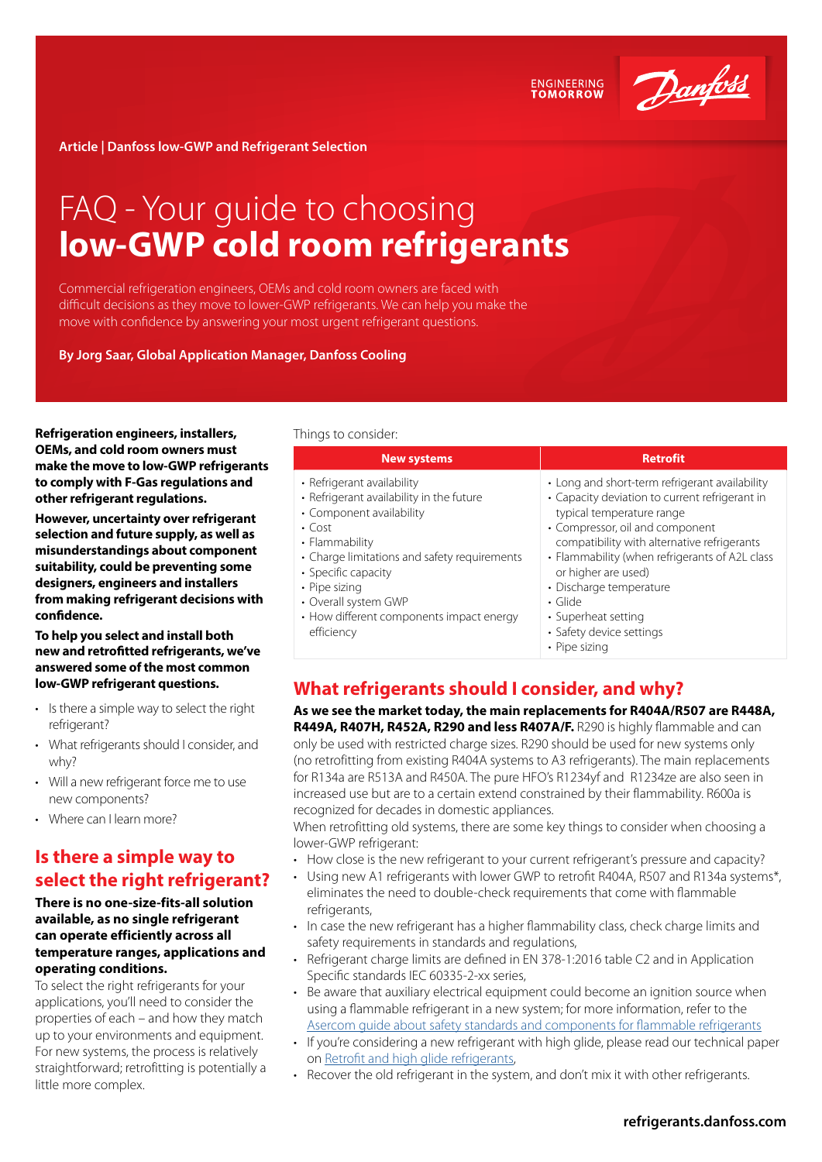

**ENGINEERING**<br>TOMORROW

**Article | Danfoss low-GWP and Refrigerant Selection**

# FAQ - Your guide to choosing **low-GWP cold room refrigerants**

Commercial refrigeration engineers, OEMs and cold room owners are faced with difficult decisions as they move to lower-GWP refrigerants. We can help you make the move with confidence by answering your most urgent refrigerant questions.

**By Jorg Saar, Global Application Manager, Danfoss Cooling**

**Refrigeration engineers, installers, OEMs, and cold room owners must make the move to low-GWP refrigerants to comply with F-Gas regulations and other refrigerant regulations.** 

**However, uncertainty over refrigerant selection and future supply, as well as misunderstandings about component suitability, could be preventing some designers, engineers and installers from making refrigerant decisions with confidence.**

**To help you select and install both new and retrofitted refrigerants, we've answered some of the most common low-GWP refrigerant questions.**

- Is there a simple way to select the right refrigerant?
- What refrigerants should I consider, and why?
- Will a new refrigerant force me to use new components?
- Where can I learn more?

## **Is there a simple way to select the right refrigerant?**

### **There is no one-size-fits-all solution available, as no single refrigerant can operate efficiently across all temperature ranges, applications and operating conditions.**

To select the right refrigerants for your applications, you'll need to consider the properties of each – and how they match up to your environments and equipment. For new systems, the process is relatively straightforward; retrofitting is potentially a little more complex.

#### Things to consider:

| <b>New systems</b>                                                                                                                                                                                                                                                                                             | <b>Retrofit</b>                                                                                                                                                                                                                                                                                                                                                                                          |
|----------------------------------------------------------------------------------------------------------------------------------------------------------------------------------------------------------------------------------------------------------------------------------------------------------------|----------------------------------------------------------------------------------------------------------------------------------------------------------------------------------------------------------------------------------------------------------------------------------------------------------------------------------------------------------------------------------------------------------|
| • Refrigerant availability<br>• Refrigerant availability in the future<br>• Component availability<br>$\cdot$ Cost<br>• Flammability<br>• Charge limitations and safety requirements<br>• Specific capacity<br>• Pipe sizing<br>• Overall system GWP<br>• How different components impact energy<br>efficiency | • Long and short-term refrigerant availability<br>• Capacity deviation to current refrigerant in<br>typical temperature range<br>• Compressor, oil and component<br>compatibility with alternative refrigerants<br>• Flammability (when refrigerants of A2L class<br>or higher are used)<br>• Discharge temperature<br>$\cdot$ Glide<br>• Superheat setting<br>• Safety device settings<br>• Pipe sizina |

## **What refrigerants should I consider, and why?**

**As we see the market today, the main replacements for R404A/R507 are R448A, R449A, R407H, R452A, R290 and less R407A/F.** R290 is highly flammable and can only be used with restricted charge sizes. R290 should be used for new systems only (no retrofitting from existing R404A systems to A3 refrigerants). The main replacements for R134a are R513A and R450A. The pure HFO's R1234yf and R1234ze are also seen in increased use but are to a certain extend constrained by their flammability. R600a is recognized for decades in domestic appliances.

When retrofitting old systems, there are some key things to consider when choosing a lower-GWP refrigerant:

- How close is the new refrigerant to your current refrigerant's pressure and capacity?
- Using new A1 refrigerants with lower GWP to retrofit R404A, R507 and R134a systems\*, eliminates the need to double-check requirements that come with flammable refrigerants,
- In case the new refrigerant has a higher flammability class, check charge limits and safety requirements in standards and regulations,
- Refrigerant charge limits are defined in EN 378-1:2016 table C2 and in Application Specific standards IEC 60335-2-xx series,
- Be aware that auxiliary electrical equipment could become an ignition source when using a flammable refrigerant in a new system; for more information, refer to the [Asercom guide about safety standards and components for flammable refrigerants](http://asercom.org/guides)
- If you're considering a new refrigerant with high glide, please read our technical paper on [Retrofit and high glide refrigerants](https://www.danfoss.com/en/search/?query=retrofit%20and%20high%20glide%20refrigerants&filter=type%3Adocumentation%2Csegment%3Adcs%2Carchived%3Afalse),
- Recover the old refrigerant in the system, and don't mix it with other refrigerants.